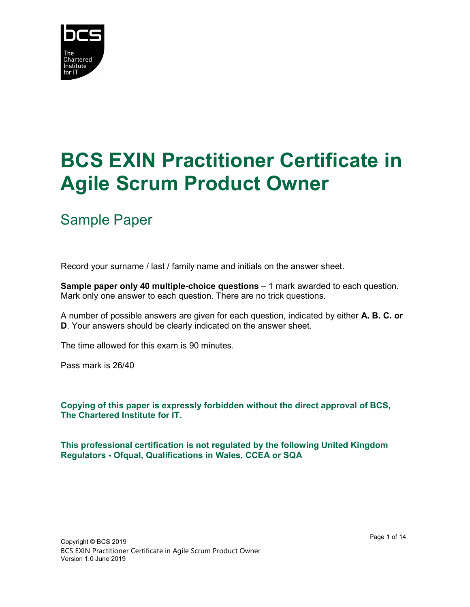

## BCS EXIN Practitioner Certificate in Agile Scrum Product Owner

## Sample Paper

Record your surname / last / family name and initials on the answer sheet.

Sample paper only 40 multiple-choice questions – 1 mark awarded to each question. Mark only one answer to each question. There are no trick questions.

A number of possible answers are given for each question, indicated by either A. B. C. or D. Your answers should be clearly indicated on the answer sheet.

The time allowed for this exam is 90 minutes.

Pass mark is 26/40

Copying of this paper is expressly forbidden without the direct approval of BCS, The Chartered Institute for IT.

This professional certification is not regulated by the following United Kingdom Regulators - Ofqual, Qualifications in Wales, CCEA or SQA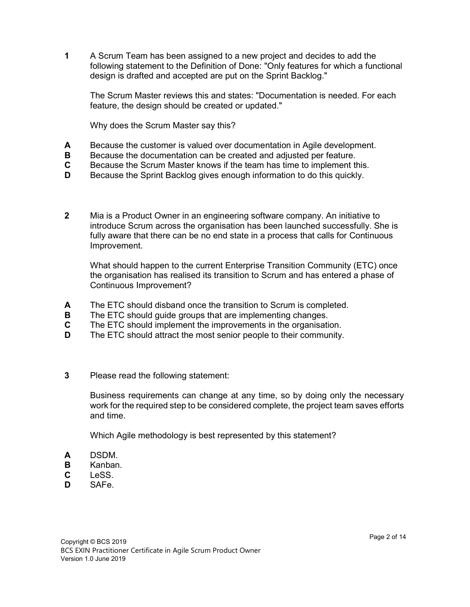1 A Scrum Team has been assigned to a new project and decides to add the following statement to the Definition of Done: "Only features for which a functional design is drafted and accepted are put on the Sprint Backlog."

The Scrum Master reviews this and states: "Documentation is needed. For each feature, the design should be created or updated."

Why does the Scrum Master say this?

- A Because the customer is valued over documentation in Agile development.
- **B** Because the documentation can be created and adjusted per feature.
- C Because the Scrum Master knows if the team has time to implement this.
- D Because the Sprint Backlog gives enough information to do this quickly.
- 2 Mia is a Product Owner in an engineering software company. An initiative to introduce Scrum across the organisation has been launched successfully. She is fully aware that there can be no end state in a process that calls for Continuous Improvement.

What should happen to the current Enterprise Transition Community (ETC) once the organisation has realised its transition to Scrum and has entered a phase of Continuous Improvement?

- A The ETC should disband once the transition to Scrum is completed.
- **B** The ETC should quide groups that are implementing changes.
- C The ETC should implement the improvements in the organisation.
- **D** The ETC should attract the most senior people to their community.
- 3 Please read the following statement:

Business requirements can change at any time, so by doing only the necessary work for the required step to be considered complete, the project team saves efforts and time.

Which Agile methodology is best represented by this statement?

- A DSDM.
- B Kanban.
- C LeSS.
- D SAFe.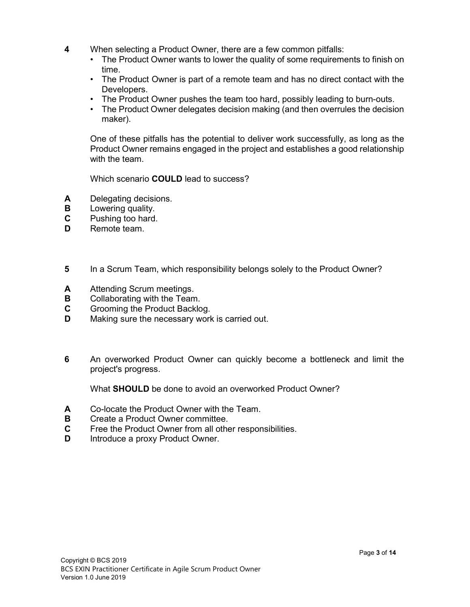- 4 When selecting a Product Owner, there are a few common pitfalls:
	- The Product Owner wants to lower the quality of some requirements to finish on time.
	- The Product Owner is part of a remote team and has no direct contact with the Developers.
	- The Product Owner pushes the team too hard, possibly leading to burn-outs.
	- The Product Owner delegates decision making (and then overrules the decision maker).

One of these pitfalls has the potential to deliver work successfully, as long as the Product Owner remains engaged in the project and establishes a good relationship with the team.

Which scenario **COULD** lead to success?

- A Delegating decisions.
- **B** Lowering quality.
- C Pushing too hard.
- D Remote team.
- 5 In a Scrum Team, which responsibility belongs solely to the Product Owner?
- A Attending Scrum meetings.
- **B** Collaborating with the Team.
- C Grooming the Product Backlog.
- **D** Making sure the necessary work is carried out.
- 6 An overworked Product Owner can quickly become a bottleneck and limit the project's progress.

What **SHOULD** be done to avoid an overworked Product Owner?

- A Co-locate the Product Owner with the Team.
- B Create a Product Owner committee.
- C Free the Product Owner from all other responsibilities.
- **D** Introduce a proxy Product Owner.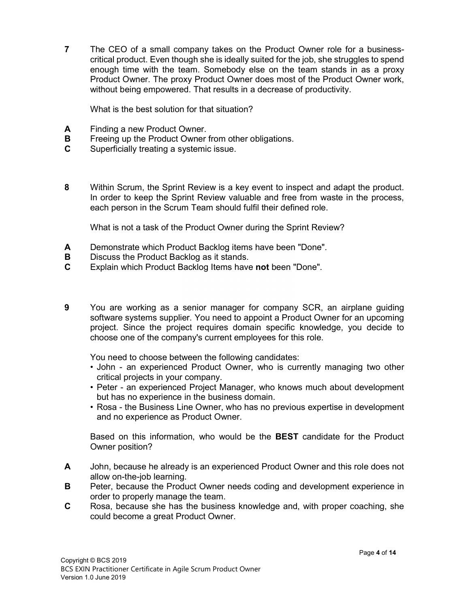7 The CEO of a small company takes on the Product Owner role for a businesscritical product. Even though she is ideally suited for the job, she struggles to spend enough time with the team. Somebody else on the team stands in as a proxy Product Owner. The proxy Product Owner does most of the Product Owner work, without being empowered. That results in a decrease of productivity.

What is the best solution for that situation?

- A Finding a new Product Owner.
- **B** Freeing up the Product Owner from other obligations.
- C Superficially treating a systemic issue.
- 8 Within Scrum, the Sprint Review is a key event to inspect and adapt the product. In order to keep the Sprint Review valuable and free from waste in the process, each person in the Scrum Team should fulfil their defined role.

What is not a task of the Product Owner during the Sprint Review?

- A Demonstrate which Product Backlog items have been "Done".
- **B** Discuss the Product Backlog as it stands.
- C Explain which Product Backlog Items have not been "Done".
- 9 You are working as a senior manager for company SCR, an airplane guiding software systems supplier. You need to appoint a Product Owner for an upcoming project. Since the project requires domain specific knowledge, you decide to choose one of the company's current employees for this role.

You need to choose between the following candidates:

- John an experienced Product Owner, who is currently managing two other critical projects in your company.
- Peter an experienced Project Manager, who knows much about development but has no experience in the business domain.
- Rosa the Business Line Owner, who has no previous expertise in development and no experience as Product Owner.

Based on this information, who would be the BEST candidate for the Product Owner position?

- A John, because he already is an experienced Product Owner and this role does not allow on-the-job learning.
- B Peter, because the Product Owner needs coding and development experience in order to properly manage the team.
- C Rosa, because she has the business knowledge and, with proper coaching, she could become a great Product Owner.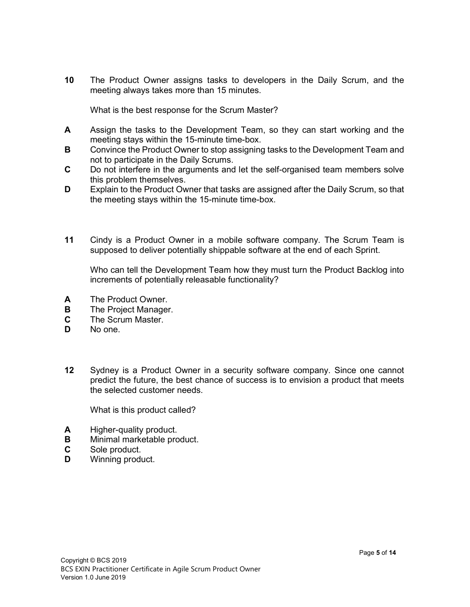10 The Product Owner assigns tasks to developers in the Daily Scrum, and the meeting always takes more than 15 minutes.

What is the best response for the Scrum Master?

- A Assign the tasks to the Development Team, so they can start working and the meeting stays within the 15-minute time-box.
- **B** Convince the Product Owner to stop assigning tasks to the Development Team and not to participate in the Daily Scrums.
- C Do not interfere in the arguments and let the self-organised team members solve this problem themselves.
- D Explain to the Product Owner that tasks are assigned after the Daily Scrum, so that the meeting stays within the 15-minute time-box.
- 11 Cindy is a Product Owner in a mobile software company. The Scrum Team is supposed to deliver potentially shippable software at the end of each Sprint.

Who can tell the Development Team how they must turn the Product Backlog into increments of potentially releasable functionality?

- A The Product Owner.
- **B** The Project Manager.
- C The Scrum Master.
- D No one.
- 12 Sydney is a Product Owner in a security software company. Since one cannot predict the future, the best chance of success is to envision a product that meets the selected customer needs.

What is this product called?

- A Higher-quality product.
- **B** Minimal marketable product.
- C Sole product.
- **D** Winning product.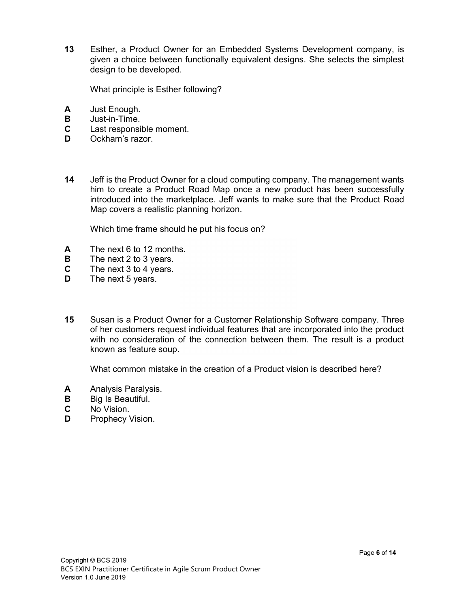13 Esther, a Product Owner for an Embedded Systems Development company, is given a choice between functionally equivalent designs. She selects the simplest design to be developed.

What principle is Esther following?

- A Just Enough.
- B Just-in-Time.
- C Last responsible moment.
- **D** Ockham's razor.
- 14 Jeff is the Product Owner for a cloud computing company. The management wants him to create a Product Road Map once a new product has been successfully introduced into the marketplace. Jeff wants to make sure that the Product Road Map covers a realistic planning horizon.

Which time frame should he put his focus on?

- A The next 6 to 12 months.
- **B** The next 2 to 3 years.
- C The next 3 to 4 years.
- **D** The next 5 years.
- 15 Susan is a Product Owner for a Customer Relationship Software company. Three of her customers request individual features that are incorporated into the product with no consideration of the connection between them. The result is a product known as feature soup.

What common mistake in the creation of a Product vision is described here?

- A Analysis Paralysis.
- **B** Big Is Beautiful.
- C No Vision.
- **D** Prophecy Vision.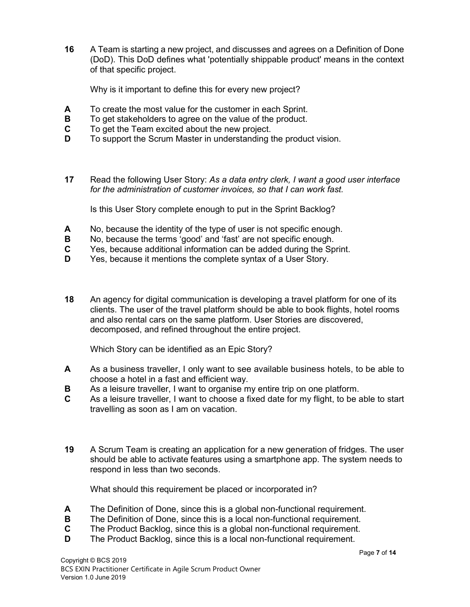16 A Team is starting a new project, and discusses and agrees on a Definition of Done (DoD). This DoD defines what 'potentially shippable product' means in the context of that specific project.

Why is it important to define this for every new project?

- A To create the most value for the customer in each Sprint.
- **B** To get stakeholders to agree on the value of the product.
- C To get the Team excited about the new project.
- D To support the Scrum Master in understanding the product vision.
- 17 Read the following User Story: As a data entry clerk, I want a good user interface for the administration of customer invoices, so that I can work fast.

Is this User Story complete enough to put in the Sprint Backlog?

- A No, because the identity of the type of user is not specific enough.
- B No, because the terms 'good' and 'fast' are not specific enough.
- C Yes, because additional information can be added during the Sprint.
- D Yes, because it mentions the complete syntax of a User Story.
- 18 An agency for digital communication is developing a travel platform for one of its clients. The user of the travel platform should be able to book flights, hotel rooms and also rental cars on the same platform. User Stories are discovered, decomposed, and refined throughout the entire project.

Which Story can be identified as an Epic Story?

- A As a business traveller, I only want to see available business hotels, to be able to choose a hotel in a fast and efficient way.
- B As a leisure traveller, I want to organise my entire trip on one platform.
- C As a leisure traveller, I want to choose a fixed date for my flight, to be able to start travelling as soon as I am on vacation.
- 19 A Scrum Team is creating an application for a new generation of fridges. The user should be able to activate features using a smartphone app. The system needs to respond in less than two seconds.

What should this requirement be placed or incorporated in?

- A The Definition of Done, since this is a global non-functional requirement.
- **B** The Definition of Done, since this is a local non-functional requirement.
- C The Product Backlog, since this is a global non-functional requirement.
- **D** The Product Backlog, since this is a local non-functional requirement.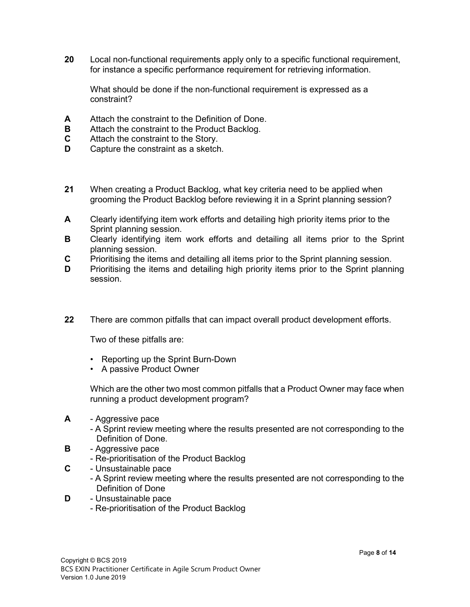20 Local non-functional requirements apply only to a specific functional requirement, for instance a specific performance requirement for retrieving information.

What should be done if the non-functional requirement is expressed as a constraint?

- A Attach the constraint to the Definition of Done.
- **B** Attach the constraint to the Product Backlog.
- C Attach the constraint to the Story.
- **D** Capture the constraint as a sketch.
- 21 When creating a Product Backlog, what key criteria need to be applied when grooming the Product Backlog before reviewing it in a Sprint planning session?
- A Clearly identifying item work efforts and detailing high priority items prior to the Sprint planning session.
- **B** Clearly identifying item work efforts and detailing all items prior to the Sprint planning session.
- C Prioritising the items and detailing all items prior to the Sprint planning session.
- D Prioritising the items and detailing high priority items prior to the Sprint planning session.
- 22 There are common pitfalls that can impact overall product development efforts.

Two of these pitfalls are:

- Reporting up the Sprint Burn-Down
- A passive Product Owner

Which are the other two most common pitfalls that a Product Owner may face when running a product development program?

- A Aggressive pace
	- A Sprint review meeting where the results presented are not corresponding to the Definition of Done.
- **B** Aggressive pace
	- Re-prioritisation of the Product Backlog
- **C** Unsustainable pace
	- A Sprint review meeting where the results presented are not corresponding to the Definition of Done
- 
- **D** Unsustainable pace<br>- Re-prioritisation of the Product Backlog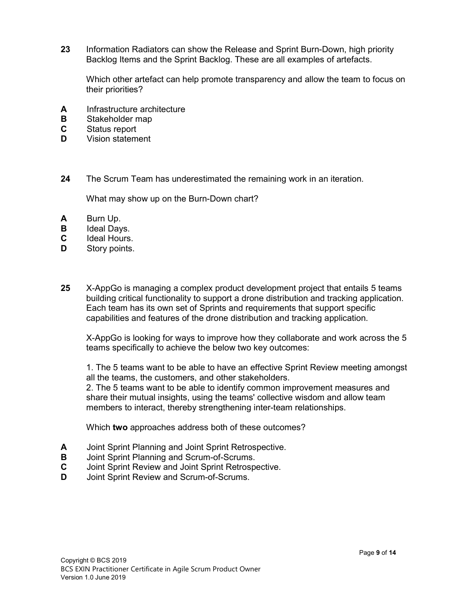23 Information Radiators can show the Release and Sprint Burn-Down, high priority Backlog Items and the Sprint Backlog. These are all examples of artefacts.

 Which other artefact can help promote transparency and allow the team to focus on their priorities?

- **A** Infrastructure architecture<br>**B** Stakeholder map
- 
- 
- **C** Status report<br>**D** Vision statement
- 24 The Scrum Team has underestimated the remaining work in an iteration.

What may show up on the Burn-Down chart?

- A Burn Up.
- **B** Ideal Days.
- C Ideal Hours.
- D Story points.
- 25 X-AppGo is managing a complex product development project that entails 5 teams building critical functionality to support a drone distribution and tracking application. Each team has its own set of Sprints and requirements that support specific capabilities and features of the drone distribution and tracking application.

 X-AppGo is looking for ways to improve how they collaborate and work across the 5 teams specifically to achieve the below two key outcomes:

 1. The 5 teams want to be able to have an effective Sprint Review meeting amongst all the teams, the customers, and other stakeholders.

 2. The 5 teams want to be able to identify common improvement measures and share their mutual insights, using the teams' collective wisdom and allow team members to interact, thereby strengthening inter-team relationships.

Which two approaches address both of these outcomes?

- A Joint Sprint Planning and Joint Sprint Retrospective.
- **B** Joint Sprint Planning and Scrum-of-Scrums.
- C Joint Sprint Review and Joint Sprint Retrospective.
- **D** Joint Sprint Review and Scrum-of-Scrums.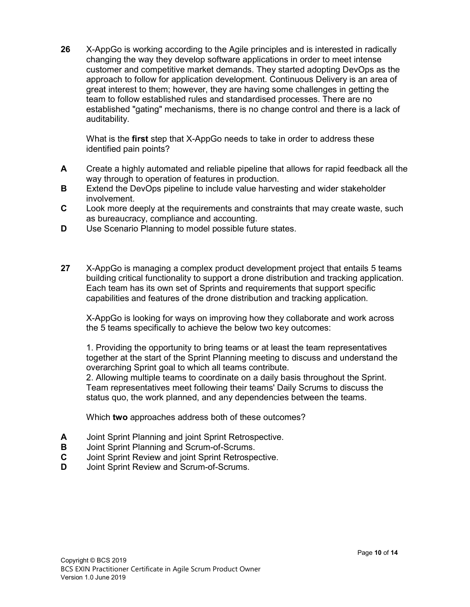26 X-AppGo is working according to the Agile principles and is interested in radically changing the way they develop software applications in order to meet intense customer and competitive market demands. They started adopting DevOps as the approach to follow for application development. Continuous Delivery is an area of great interest to them; however, they are having some challenges in getting the team to follow established rules and standardised processes. There are no established "gating" mechanisms, there is no change control and there is a lack of auditability.

What is the first step that X-AppGo needs to take in order to address these identified pain points?

- A Create a highly automated and reliable pipeline that allows for rapid feedback all the way through to operation of features in production.
- **B** Extend the DevOps pipeline to include value harvesting and wider stakeholder involvement.
- C Look more deeply at the requirements and constraints that may create waste, such as bureaucracy, compliance and accounting.
- **D** Use Scenario Planning to model possible future states.
- 27 X-AppGo is managing a complex product development project that entails 5 teams building critical functionality to support a drone distribution and tracking application. Each team has its own set of Sprints and requirements that support specific capabilities and features of the drone distribution and tracking application.

 X-AppGo is looking for ways on improving how they collaborate and work across the 5 teams specifically to achieve the below two key outcomes:

 1. Providing the opportunity to bring teams or at least the team representatives together at the start of the Sprint Planning meeting to discuss and understand the overarching Sprint goal to which all teams contribute.

 2. Allowing multiple teams to coordinate on a daily basis throughout the Sprint. Team representatives meet following their teams' Daily Scrums to discuss the status quo, the work planned, and any dependencies between the teams.

Which two approaches address both of these outcomes?

- A Joint Sprint Planning and joint Sprint Retrospective.
- **B** Joint Sprint Planning and Scrum-of-Scrums.<br>**C** Joint Sprint Review and joint Sprint Retrospe
- Joint Sprint Review and joint Sprint Retrospective.
- **D** Joint Sprint Review and Scrum-of-Scrums.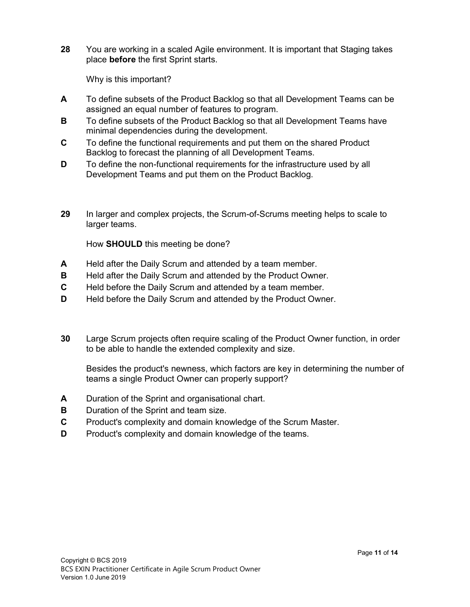28 You are working in a scaled Agile environment. It is important that Staging takes place before the first Sprint starts.

Why is this important?

- A To define subsets of the Product Backlog so that all Development Teams can be assigned an equal number of features to program.
- **B** To define subsets of the Product Backlog so that all Development Teams have minimal dependencies during the development.
- C To define the functional requirements and put them on the shared Product Backlog to forecast the planning of all Development Teams.
- D To define the non-functional requirements for the infrastructure used by all Development Teams and put them on the Product Backlog.
- 29 In larger and complex projects, the Scrum-of-Scrums meeting helps to scale to larger teams.

How SHOULD this meeting be done?

- A Held after the Daily Scrum and attended by a team member.
- **B** Held after the Daily Scrum and attended by the Product Owner.
- C Held before the Daily Scrum and attended by a team member.
- D Held before the Daily Scrum and attended by the Product Owner.
- 30 Large Scrum projects often require scaling of the Product Owner function, in order to be able to handle the extended complexity and size.

Besides the product's newness, which factors are key in determining the number of teams a single Product Owner can properly support?

- A Duration of the Sprint and organisational chart.
- **B** Duration of the Sprint and team size.
- C Product's complexity and domain knowledge of the Scrum Master.
- **D** Product's complexity and domain knowledge of the teams.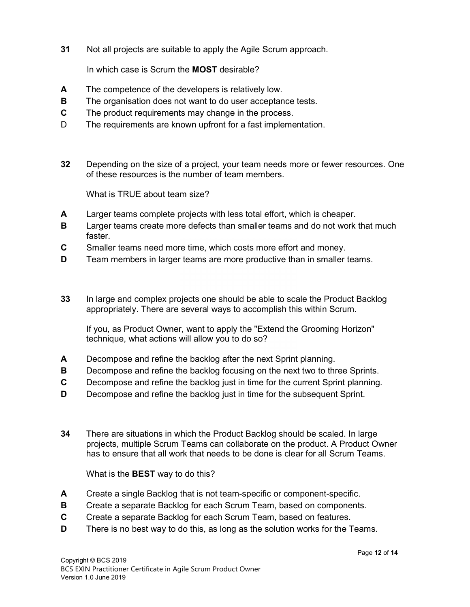31 Not all projects are suitable to apply the Agile Scrum approach.

In which case is Scrum the MOST desirable?

- A The competence of the developers is relatively low.
- **B** The organisation does not want to do user acceptance tests.
- C The product requirements may change in the process.
- D The requirements are known upfront for a fast implementation.
- 32 Depending on the size of a project, your team needs more or fewer resources. One of these resources is the number of team members.

What is TRUE about team size?

- A Larger teams complete projects with less total effort, which is cheaper.
- **B** Larger teams create more defects than smaller teams and do not work that much faster.
- C Smaller teams need more time, which costs more effort and money.
- D Team members in larger teams are more productive than in smaller teams.
- 33 In large and complex projects one should be able to scale the Product Backlog appropriately. There are several ways to accomplish this within Scrum.

If you, as Product Owner, want to apply the "Extend the Grooming Horizon" technique, what actions will allow you to do so?

- A Decompose and refine the backlog after the next Sprint planning.
- **B** Decompose and refine the backlog focusing on the next two to three Sprints.
- C Decompose and refine the backlog just in time for the current Sprint planning.
- **D** Decompose and refine the backlog just in time for the subsequent Sprint.
- 34 There are situations in which the Product Backlog should be scaled. In large projects, multiple Scrum Teams can collaborate on the product. A Product Owner has to ensure that all work that needs to be done is clear for all Scrum Teams.

What is the **BEST** way to do this?

- A Create a single Backlog that is not team-specific or component-specific.
- **B** Create a separate Backlog for each Scrum Team, based on components.
- C Create a separate Backlog for each Scrum Team, based on features.
- D There is no best way to do this, as long as the solution works for the Teams.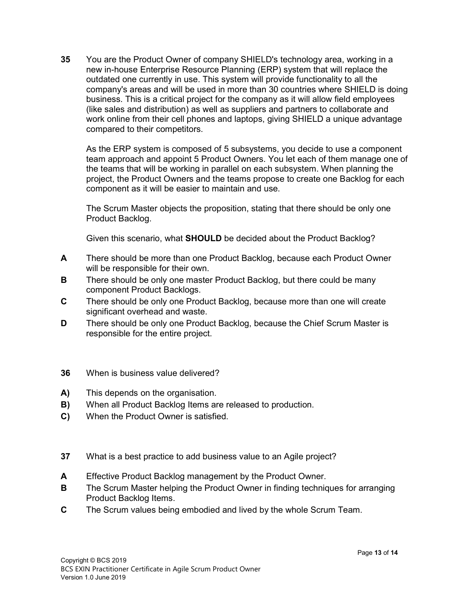35 You are the Product Owner of company SHIELD's technology area, working in a new in-house Enterprise Resource Planning (ERP) system that will replace the outdated one currently in use. This system will provide functionality to all the company's areas and will be used in more than 30 countries where SHIELD is doing business. This is a critical project for the company as it will allow field employees (like sales and distribution) as well as suppliers and partners to collaborate and work online from their cell phones and laptops, giving SHIELD a unique advantage compared to their competitors.

As the ERP system is composed of 5 subsystems, you decide to use a component team approach and appoint 5 Product Owners. You let each of them manage one of the teams that will be working in parallel on each subsystem. When planning the project, the Product Owners and the teams propose to create one Backlog for each component as it will be easier to maintain and use.

The Scrum Master objects the proposition, stating that there should be only one Product Backlog.

Given this scenario, what SHOULD be decided about the Product Backlog?

- A There should be more than one Product Backlog, because each Product Owner will be responsible for their own.
- **B** There should be only one master Product Backlog, but there could be many component Product Backlogs.
- C There should be only one Product Backlog, because more than one will create significant overhead and waste.
- D There should be only one Product Backlog, because the Chief Scrum Master is responsible for the entire project.
- 36 When is business value delivered?
- A) This depends on the organisation.
- **B)** When all Product Backlog Items are released to production.
- C) When the Product Owner is satisfied.
- 37 What is a best practice to add business value to an Agile project?
- A Effective Product Backlog management by the Product Owner.
- **B** The Scrum Master helping the Product Owner in finding techniques for arranging Product Backlog Items.
- C The Scrum values being embodied and lived by the whole Scrum Team.